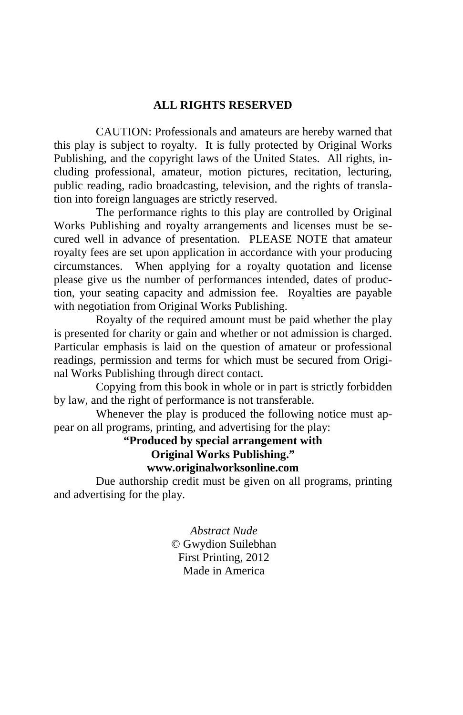#### **ALL RIGHTS RESERVED**

 CAUTION: Professionals and amateurs are hereby warned that this play is subject to royalty. It is fully protected by Original Works Publishing, and the copyright laws of the United States. All rights, including professional, amateur, motion pictures, recitation, lecturing, public reading, radio broadcasting, television, and the rights of translation into foreign languages are strictly reserved.

 The performance rights to this play are controlled by Original Works Publishing and royalty arrangements and licenses must be secured well in advance of presentation. PLEASE NOTE that amateur royalty fees are set upon application in accordance with your producing circumstances. When applying for a royalty quotation and license please give us the number of performances intended, dates of production, your seating capacity and admission fee. Royalties are payable with negotiation from Original Works Publishing.

 Royalty of the required amount must be paid whether the play is presented for charity or gain and whether or not admission is charged. Particular emphasis is laid on the question of amateur or professional readings, permission and terms for which must be secured from Original Works Publishing through direct contact.

 Copying from this book in whole or in part is strictly forbidden by law, and the right of performance is not transferable.

 Whenever the play is produced the following notice must appear on all programs, printing, and advertising for the play:

> **"Produced by special arrangement with Original Works Publishing." www.originalworksonline.com**

 Due authorship credit must be given on all programs, printing and advertising for the play.

> *Abstract Nude*  © Gwydion Suilebhan First Printing, 2012 Made in America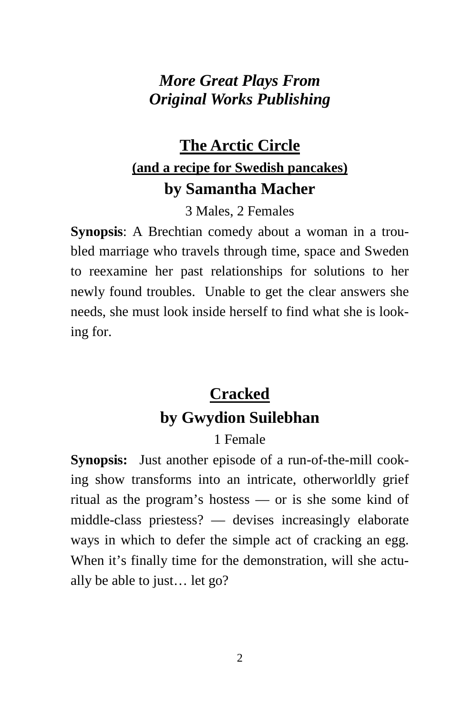## *More Great Plays From Original Works Publishing*

## **The Arctic Circle (and a recipe for Swedish pancakes) by Samantha Macher**

3 Males, 2 Females

**Synopsis**: A Brechtian comedy about a woman in a troubled marriage who travels through time, space and Sweden to reexamine her past relationships for solutions to her newly found troubles. Unable to get the clear answers she needs, she must look inside herself to find what she is looking for.

# **Cracked by Gwydion Suilebhan**

## 1 Female

**Synopsis:** Just another episode of a run-of-the-mill cooking show transforms into an intricate, otherworldly grief ritual as the program's hostess — or is she some kind of middle-class priestess? — devises increasingly elaborate ways in which to defer the simple act of cracking an egg. When it's finally time for the demonstration, will she actually be able to just… let go?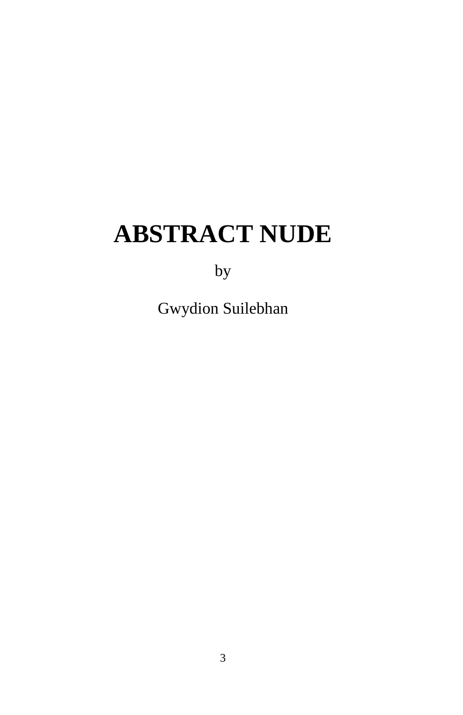# **ABSTRACT NUDE**

by

Gwydion Suilebhan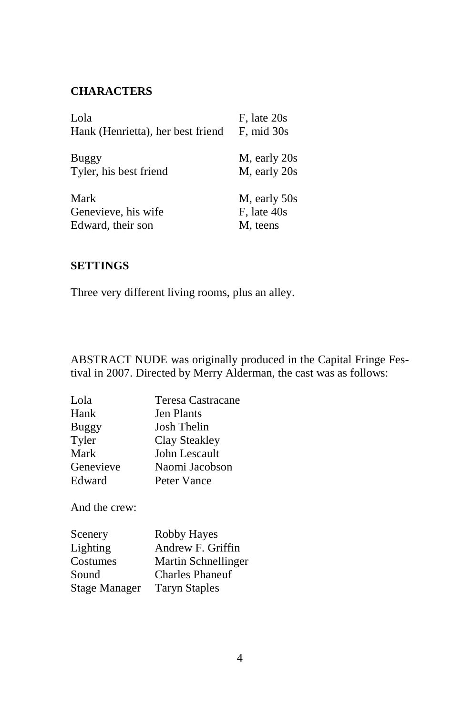### **CHARACTERS**

| Lola                              | F, late 20s     |
|-----------------------------------|-----------------|
| Hank (Henrietta), her best friend | $F$ , mid $30s$ |
|                                   |                 |
| Buggy                             | M, early 20s    |
| Tyler, his best friend            | M, early 20s    |
| Mark                              | M, early 50s    |
| Genevieve, his wife               | $Fs$ late $40s$ |
| Edward, their son                 | M, teens        |

#### **SETTINGS**

Three very different living rooms, plus an alley.

ABSTRACT NUDE was originally produced in the Capital Fringe Festival in 2007. Directed by Merry Alderman, the cast was as follows:

| Lola      | Teresa Castracane |
|-----------|-------------------|
| Hank      | <b>Jen Plants</b> |
| Buggy     | Josh Thelin       |
| Tyler     | Clay Steakley     |
| Mark      | John Lescault     |
| Genevieve | Naomi Jacobson    |
| Edward    | Peter Vance       |

And the crew:

| Scenery              | Robby Hayes            |
|----------------------|------------------------|
| Lighting             | Andrew F. Griffin      |
| Costumes             | Martin Schnellinger    |
| Sound                | <b>Charles Phaneuf</b> |
| <b>Stage Manager</b> | <b>Taryn Staples</b>   |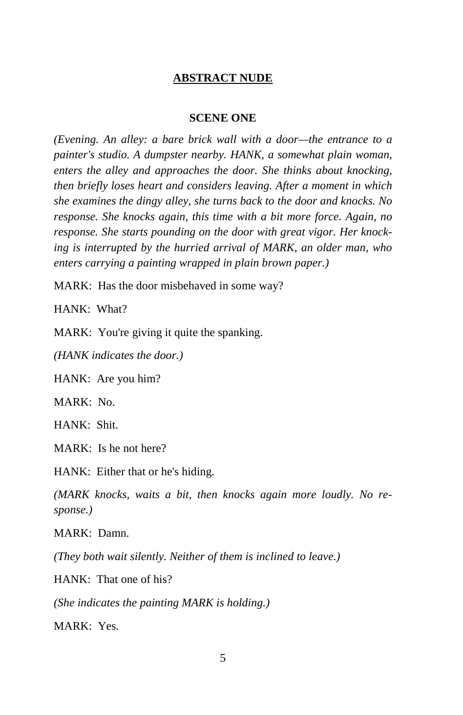#### **ABSTRACT NUDE**

#### **SCENE ONE**

*(Evening. An alley: a bare brick wall with a door—the entrance to a painter's studio. A dumpster nearby. HANK, a somewhat plain woman, enters the alley and approaches the door. She thinks about knocking, then briefly loses heart and considers leaving. After a moment in which she examines the dingy alley, she turns back to the door and knocks. No response. She knocks again, this time with a bit more force. Again, no response. She starts pounding on the door with great vigor. Her knocking is interrupted by the hurried arrival of MARK, an older man, who enters carrying a painting wrapped in plain brown paper.)* 

MARK: Has the door misbehaved in some way?

HANK: What?

MARK: You're giving it quite the spanking.

*(HANK indicates the door.)* 

HANK: Are you him?

MARK: No.

HANK: Shit.

MARK: Is he not here?

HANK: Either that or he's hiding.

*(MARK knocks, waits a bit, then knocks again more loudly. No response.)* 

MARK: Damn.

*(They both wait silently. Neither of them is inclined to leave.)* 

HANK: That one of his?

*(She indicates the painting MARK is holding.)* 

MARK: Yes.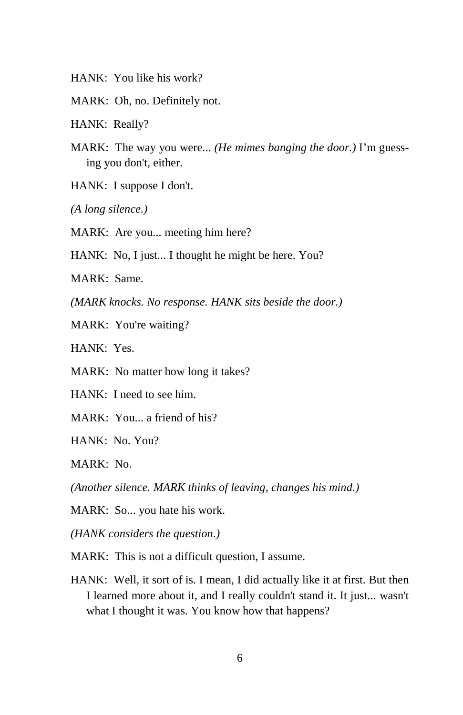- HANK: You like his work?
- MARK: Oh, no. Definitely not.
- HANK: Really?
- MARK: The way you were... *(He mimes banging the door.)* I'm guessing you don't, either.
- HANK: I suppose I don't.
- *(A long silence.)*
- MARK: Are you... meeting him here?
- HANK: No, I just... I thought he might be here. You?

MARK: Same.

*(MARK knocks. No response. HANK sits beside the door.)* 

MARK: You're waiting?

HANK: Yes.

- MARK: No matter how long it takes?
- HANK: I need to see him.
- MARK: You... a friend of his?

HANK: No. You?

MARK: No.

*(Another silence. MARK thinks of leaving, changes his mind.)* 

MARK: So... you hate his work.

*(HANK considers the question.)* 

- MARK: This is not a difficult question, I assume.
- HANK: Well, it sort of is. I mean, I did actually like it at first. But then I learned more about it, and I really couldn't stand it. It just... wasn't what I thought it was. You know how that happens?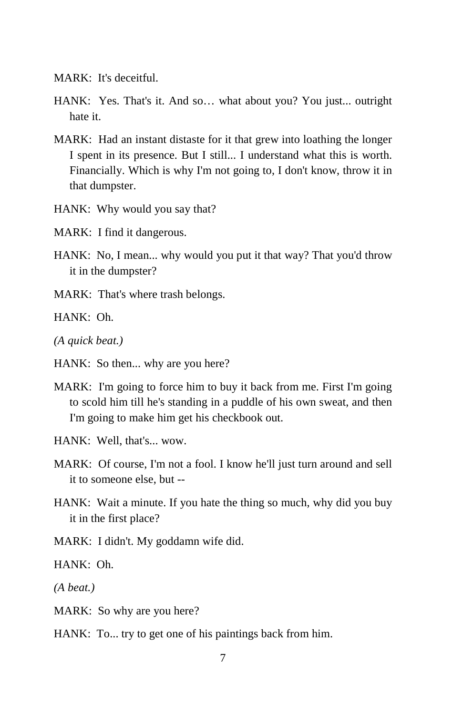MARK: It's deceitful.

- HANK: Yes. That's it. And so… what about you? You just... outright hate it.
- MARK: Had an instant distaste for it that grew into loathing the longer I spent in its presence. But I still... I understand what this is worth. Financially. Which is why I'm not going to, I don't know, throw it in that dumpster.
- HANK: Why would you say that?
- MARK: I find it dangerous.
- HANK: No, I mean... why would you put it that way? That you'd throw it in the dumpster?
- MARK: That's where trash belongs.

HANK: Oh.

- *(A quick beat.)*
- HANK: So then... why are you here?
- MARK: I'm going to force him to buy it back from me. First I'm going to scold him till he's standing in a puddle of his own sweat, and then I'm going to make him get his checkbook out.
- HANK: Well, that's... wow.
- MARK: Of course, I'm not a fool. I know he'll just turn around and sell it to someone else, but --
- HANK: Wait a minute. If you hate the thing so much, why did you buy it in the first place?
- MARK: I didn't. My goddamn wife did.

HANK: Oh.

*(A beat.)* 

- MARK: So why are you here?
- HANK: To... try to get one of his paintings back from him.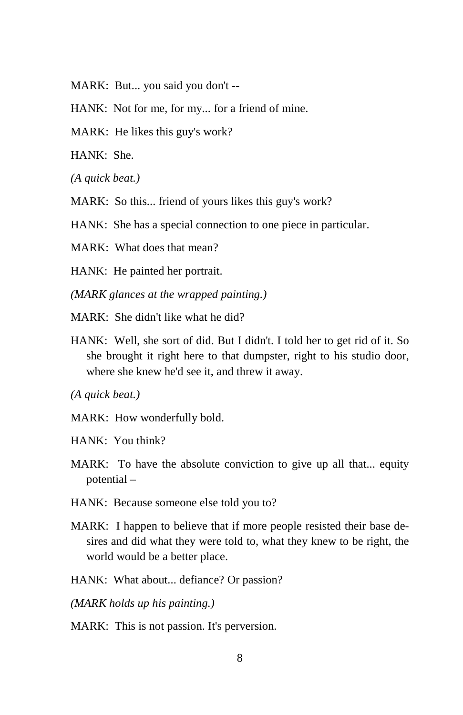- MARK: But... you said you don't --
- HANK: Not for me, for my... for a friend of mine.
- MARK: He likes this guy's work?

HANK: She.

*(A quick beat.)* 

MARK: So this... friend of yours likes this guy's work?

HANK: She has a special connection to one piece in particular.

MARK: What does that mean?

HANK: He painted her portrait.

*(MARK glances at the wrapped painting.)* 

 $\text{MARK:}$  She didn't like what he did?

HANK: Well, she sort of did. But I didn't. I told her to get rid of it. So she brought it right here to that dumpster, right to his studio door, where she knew he'd see it, and threw it away.

*(A quick beat.)* 

MARK: How wonderfully bold.

HANK: You think?

- MARK: To have the absolute conviction to give up all that... equity potential –
- HANK: Because someone else told you to?
- MARK: I happen to believe that if more people resisted their base desires and did what they were told to, what they knew to be right, the world would be a better place.
- HANK: What about... defiance? Or passion?

*(MARK holds up his painting.)* 

MARK: This is not passion. It's perversion.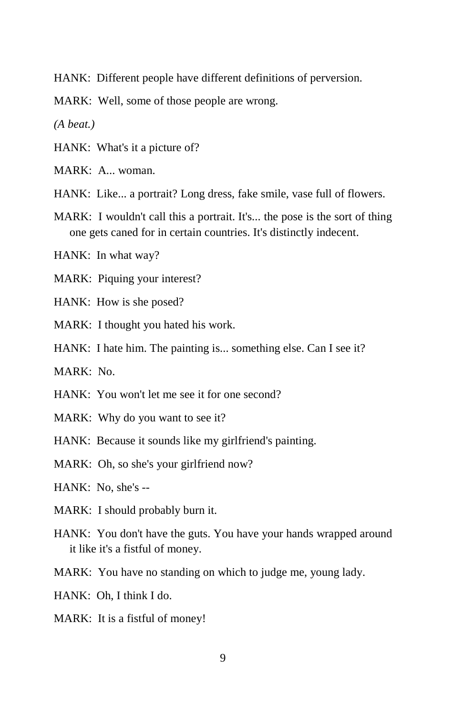HANK: Different people have different definitions of perversion.

MARK: Well, some of those people are wrong.

*(A beat.)* 

HANK: What's it a picture of?

MARK: A... woman.

HANK: Like... a portrait? Long dress, fake smile, vase full of flowers.

MARK: I wouldn't call this a portrait. It's... the pose is the sort of thing one gets caned for in certain countries. It's distinctly indecent.

HANK: In what way?

MARK: Piquing your interest?

- HANK: How is she posed?
- MARK: I thought you hated his work.
- HANK: I hate him. The painting is... something else. Can I see it?

MARK: No.

- HANK: You won't let me see it for one second?
- MARK: Why do you want to see it?

HANK: Because it sounds like my girlfriend's painting.

MARK: Oh, so she's your girlfriend now?

HANK: No, she's --

- MARK: I should probably burn it.
- HANK: You don't have the guts. You have your hands wrapped around it like it's a fistful of money.
- MARK: You have no standing on which to judge me, young lady.

HANK: Oh, I think I do.

MARK: It is a fistful of money!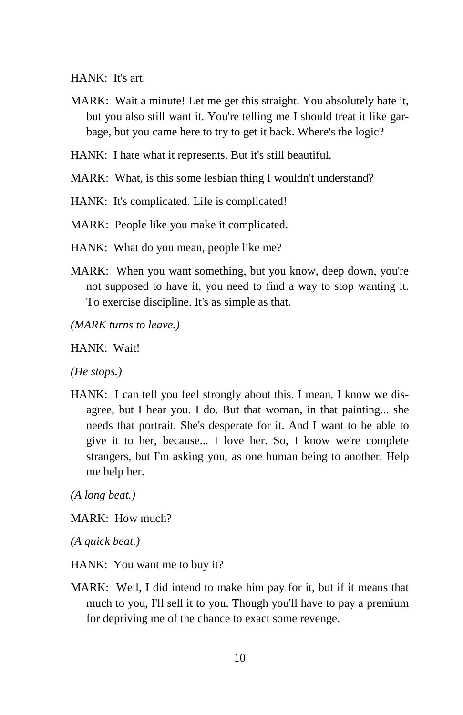HANK: It's art.

- MARK: Wait a minute! Let me get this straight. You absolutely hate it, but you also still want it. You're telling me I should treat it like garbage, but you came here to try to get it back. Where's the logic?
- HANK: I hate what it represents. But it's still beautiful.
- MARK: What, is this some lesbian thing I wouldn't understand?

HANK: It's complicated. Life is complicated!

MARK: People like you make it complicated.

HANK: What do you mean, people like me?

MARK: When you want something, but you know, deep down, you're not supposed to have it, you need to find a way to stop wanting it. To exercise discipline. It's as simple as that.

*(MARK turns to leave.)* 

HANK: Wait!

*(He stops.)* 

HANK: I can tell you feel strongly about this. I mean, I know we disagree, but I hear you. I do. But that woman, in that painting... she needs that portrait. She's desperate for it. And I want to be able to give it to her, because... I love her. So, I know we're complete strangers, but I'm asking you, as one human being to another. Help me help her.

*(A long beat.)* 

MARK: How much?

*(A quick beat.)* 

HANK: You want me to buy it?

MARK: Well, I did intend to make him pay for it, but if it means that much to you, I'll sell it to you. Though you'll have to pay a premium for depriving me of the chance to exact some revenge.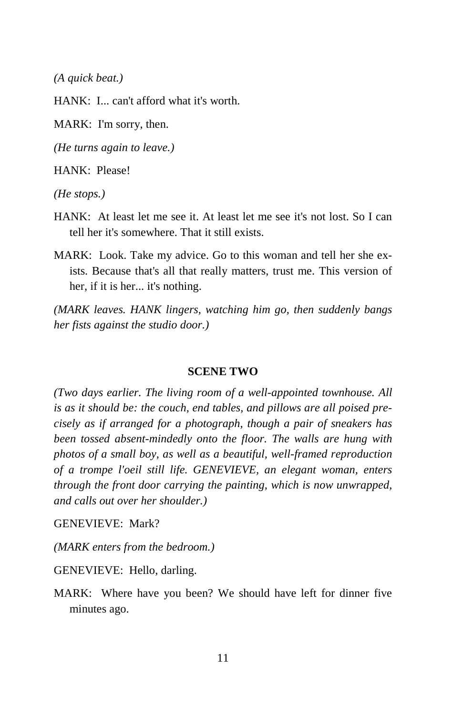*(A quick beat.)* 

HANK: I... can't afford what it's worth.

MARK: I'm sorry, then.

*(He turns again to leave.)* 

HANK: Please!

*(He stops.)* 

- HANK: At least let me see it. At least let me see it's not lost. So I can tell her it's somewhere. That it still exists.
- MARK: Look. Take my advice. Go to this woman and tell her she exists. Because that's all that really matters, trust me. This version of her, if it is her... it's nothing.

*(MARK leaves. HANK lingers, watching him go, then suddenly bangs her fists against the studio door.)* 

#### **SCENE TWO**

*(Two days earlier. The living room of a well-appointed townhouse. All is as it should be: the couch, end tables, and pillows are all poised precisely as if arranged for a photograph, though a pair of sneakers has been tossed absent-mindedly onto the floor. The walls are hung with photos of a small boy, as well as a beautiful, well-framed reproduction of a trompe l'oeil still life. GENEVIEVE, an elegant woman, enters through the front door carrying the painting, which is now unwrapped, and calls out over her shoulder.)* 

GENEVIEVE: Mark?

*(MARK enters from the bedroom.)* 

GENEVIEVE: Hello, darling.

MARK: Where have you been? We should have left for dinner five minutes ago.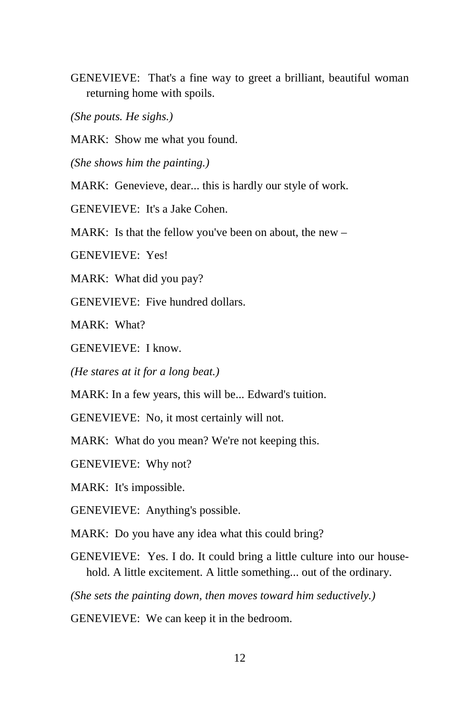GENEVIEVE: That's a fine way to greet a brilliant, beautiful woman returning home with spoils.

*(She pouts. He sighs.)* 

MARK: Show me what you found.

*(She shows him the painting.)* 

MARK: Genevieve, dear... this is hardly our style of work.

GENEVIEVE: It's a Jake Cohen.

MARK: Is that the fellow you've been on about, the new –

GENEVIEVE: Yes!

MARK: What did you pay?

GENEVIEVE: Five hundred dollars.

MARK: What?

GENEVIEVE: I know.

*(He stares at it for a long beat.)* 

MARK: In a few years, this will be... Edward's tuition.

GENEVIEVE: No, it most certainly will not.

MARK: What do you mean? We're not keeping this.

GENEVIEVE: Why not?

MARK: It's impossible.

GENEVIEVE: Anything's possible.

MARK: Do you have any idea what this could bring?

GENEVIEVE: Yes. I do. It could bring a little culture into our household. A little excitement. A little something... out of the ordinary.

*(She sets the painting down, then moves toward him seductively.)* 

GENEVIEVE: We can keep it in the bedroom.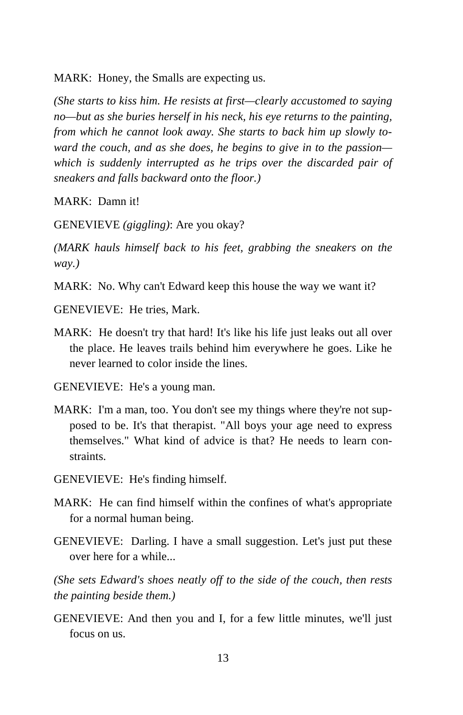MARK: Honey, the Smalls are expecting us.

*(She starts to kiss him. He resists at first—clearly accustomed to saying no—but as she buries herself in his neck, his eye returns to the painting, from which he cannot look away. She starts to back him up slowly toward the couch, and as she does, he begins to give in to the passion which is suddenly interrupted as he trips over the discarded pair of sneakers and falls backward onto the floor.)* 

MARK: Damn it!

GENEVIEVE *(giggling)*: Are you okay?

*(MARK hauls himself back to his feet, grabbing the sneakers on the way.)* 

MARK: No. Why can't Edward keep this house the way we want it?

GENEVIEVE: He tries, Mark.

MARK: He doesn't try that hard! It's like his life just leaks out all over the place. He leaves trails behind him everywhere he goes. Like he never learned to color inside the lines.

GENEVIEVE: He's a young man.

- MARK: I'm a man, too. You don't see my things where they're not supposed to be. It's that therapist. "All boys your age need to express themselves." What kind of advice is that? He needs to learn constraints.
- GENEVIEVE: He's finding himself.
- MARK: He can find himself within the confines of what's appropriate for a normal human being.
- GENEVIEVE: Darling. I have a small suggestion. Let's just put these over here for a while...

*(She sets Edward's shoes neatly off to the side of the couch, then rests the painting beside them.)* 

GENEVIEVE: And then you and I, for a few little minutes, we'll just focus on us.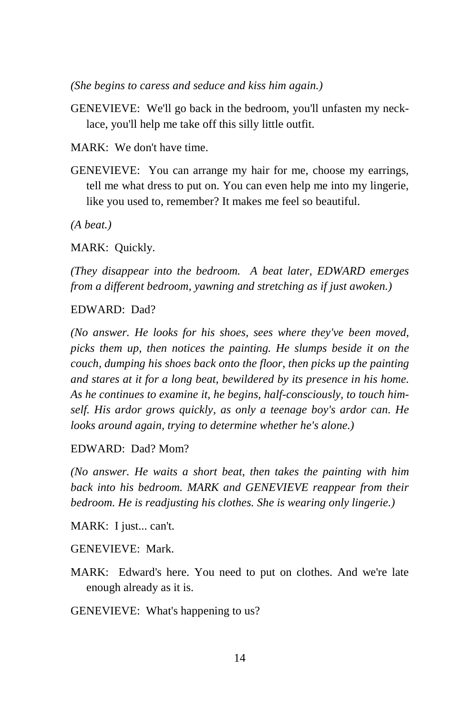*(She begins to caress and seduce and kiss him again.)* 

GENEVIEVE: We'll go back in the bedroom, you'll unfasten my necklace, you'll help me take off this silly little outfit.

MARK: We don't have time.

GENEVIEVE: You can arrange my hair for me, choose my earrings, tell me what dress to put on. You can even help me into my lingerie, like you used to, remember? It makes me feel so beautiful.

*(A beat.)* 

MARK: Quickly.

*(They disappear into the bedroom. A beat later, EDWARD emerges from a different bedroom, yawning and stretching as if just awoken.)* 

#### EDWARD: Dad?

*(No answer. He looks for his shoes, sees where they've been moved, picks them up, then notices the painting. He slumps beside it on the couch, dumping his shoes back onto the floor, then picks up the painting and stares at it for a long beat, bewildered by its presence in his home. As he continues to examine it, he begins, half-consciously, to touch himself. His ardor grows quickly, as only a teenage boy's ardor can. He looks around again, trying to determine whether he's alone.)* 

#### EDWARD: Dad? Mom?

*(No answer. He waits a short beat, then takes the painting with him back into his bedroom. MARK and GENEVIEVE reappear from their bedroom. He is readjusting his clothes. She is wearing only lingerie.)* 

MARK: I just... can't.

GENEVIEVE: Mark.

MARK: Edward's here. You need to put on clothes. And we're late enough already as it is.

GENEVIEVE: What's happening to us?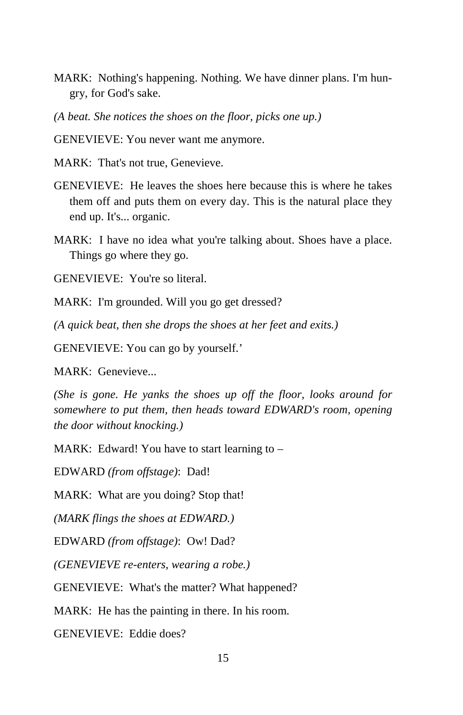- MARK: Nothing's happening. Nothing. We have dinner plans. I'm hungry, for God's sake.
- *(A beat. She notices the shoes on the floor, picks one up.)*
- GENEVIEVE: You never want me anymore.
- MARK: That's not true, Genevieve.
- GENEVIEVE: He leaves the shoes here because this is where he takes them off and puts them on every day. This is the natural place they end up. It's... organic.
- MARK: I have no idea what you're talking about. Shoes have a place. Things go where they go.

GENEVIEVE: You're so literal.

MARK: I'm grounded. Will you go get dressed?

*(A quick beat, then she drops the shoes at her feet and exits.)* 

GENEVIEVE: You can go by yourself.'

MARK: Genevieve...

*(She is gone. He yanks the shoes up off the floor, looks around for somewhere to put them, then heads toward EDWARD's room, opening the door without knocking.)* 

MARK: Edward! You have to start learning to –

EDWARD *(from offstage)*: Dad!

MARK: What are you doing? Stop that!

*(MARK flings the shoes at EDWARD.)* 

EDWARD *(from offstage)*: Ow! Dad?

*(GENEVIEVE re-enters, wearing a robe.)* 

GENEVIEVE: What's the matter? What happened?

MARK: He has the painting in there. In his room.

GENEVIEVE: Eddie does?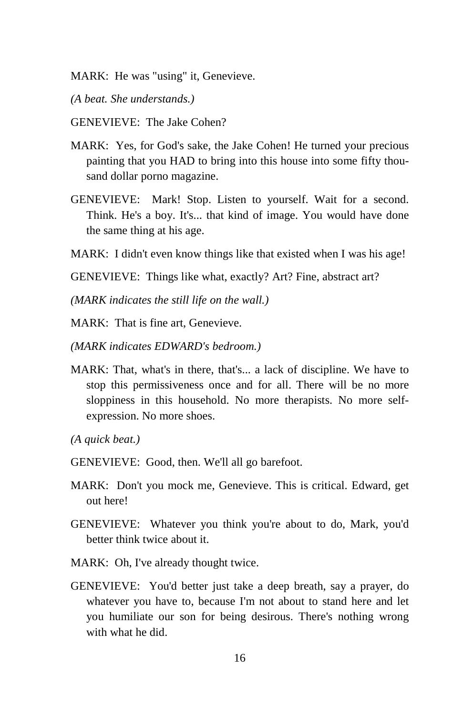- MARK: He was "using" it, Genevieve.
- *(A beat. She understands.)*
- GENEVIEVE: The Jake Cohen?
- MARK: Yes, for God's sake, the Jake Cohen! He turned your precious painting that you HAD to bring into this house into some fifty thousand dollar porno magazine.
- GENEVIEVE: Mark! Stop. Listen to yourself. Wait for a second. Think. He's a boy. It's... that kind of image. You would have done the same thing at his age.
- MARK: I didn't even know things like that existed when I was his age!
- GENEVIEVE: Things like what, exactly? Art? Fine, abstract art?
- *(MARK indicates the still life on the wall.)*
- MARK: That is fine art, Genevieve.
- *(MARK indicates EDWARD's bedroom.)*
- MARK: That, what's in there, that's... a lack of discipline. We have to stop this permissiveness once and for all. There will be no more sloppiness in this household. No more therapists. No more selfexpression. No more shoes.
- *(A quick beat.)*
- GENEVIEVE: Good, then. We'll all go barefoot.
- MARK: Don't you mock me, Genevieve. This is critical. Edward, get out here!
- GENEVIEVE: Whatever you think you're about to do, Mark, you'd better think twice about it.
- MARK: Oh, I've already thought twice.
- GENEVIEVE: You'd better just take a deep breath, say a prayer, do whatever you have to, because I'm not about to stand here and let you humiliate our son for being desirous. There's nothing wrong with what he did.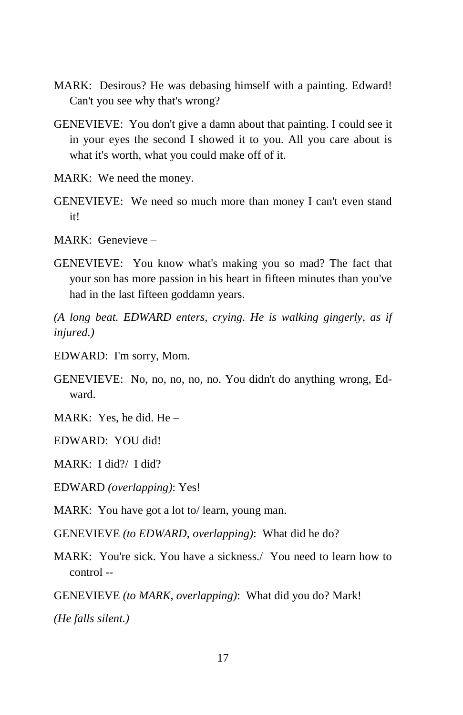- MARK: Desirous? He was debasing himself with a painting. Edward! Can't you see why that's wrong?
- GENEVIEVE: You don't give a damn about that painting. I could see it in your eyes the second I showed it to you. All you care about is what it's worth, what you could make off of it.
- MARK: We need the money.
- GENEVIEVE: We need so much more than money I can't even stand it!
- MARK: Genevieve –
- GENEVIEVE: You know what's making you so mad? The fact that your son has more passion in his heart in fifteen minutes than you've had in the last fifteen goddamn years.

*(A long beat. EDWARD enters, crying. He is walking gingerly, as if injured.)* 

- EDWARD: I'm sorry, Mom.
- GENEVIEVE: No, no, no, no, no. You didn't do anything wrong, Edward.
- MARK: Yes, he did. He –

EDWARD: YOU did!

MARK: I did?/ I did?

EDWARD *(overlapping)*: Yes!

MARK: You have got a lot to/ learn, young man.

GENEVIEVE *(to EDWARD, overlapping)*: What did he do?

MARK: You're sick. You have a sickness./ You need to learn how to control --

GENEVIEVE *(to MARK, overlapping)*: What did you do? Mark!

*(He falls silent.)*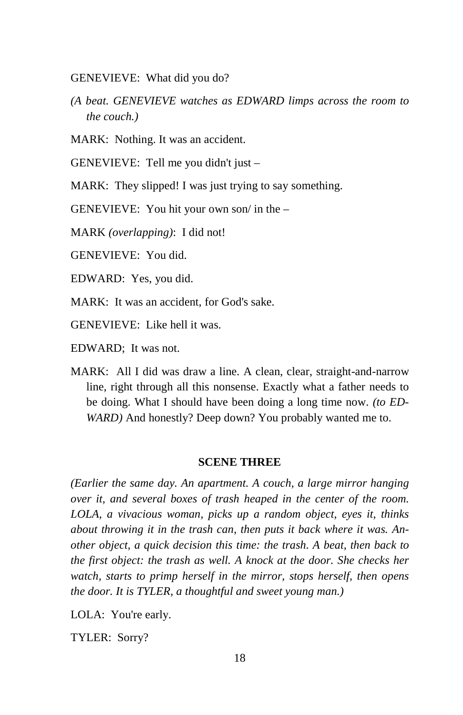GENEVIEVE: What did you do?

*(A beat. GENEVIEVE watches as EDWARD limps across the room to the couch.)* 

MARK: Nothing. It was an accident.

GENEVIEVE: Tell me you didn't just –

MARK: They slipped! I was just trying to say something.

GENEVIEVE: You hit your own son/ in the –

MARK *(overlapping)*: I did not!

GENEVIEVE: You did.

EDWARD: Yes, you did.

MARK: It was an accident, for God's sake.

GENEVIEVE: Like hell it was.

EDWARD; It was not.

MARK: All I did was draw a line. A clean, clear, straight-and-narrow line, right through all this nonsense. Exactly what a father needs to be doing. What I should have been doing a long time now. *(to ED-WARD*) And honestly? Deep down? You probably wanted me to.

#### **SCENE THREE**

*(Earlier the same day. An apartment. A couch, a large mirror hanging over it, and several boxes of trash heaped in the center of the room. LOLA, a vivacious woman, picks up a random object, eyes it, thinks about throwing it in the trash can, then puts it back where it was. Another object, a quick decision this time: the trash. A beat, then back to the first object: the trash as well. A knock at the door. She checks her watch, starts to primp herself in the mirror, stops herself, then opens the door. It is TYLER, a thoughtful and sweet young man.)* 

LOLA: You're early.

TYLER: Sorry?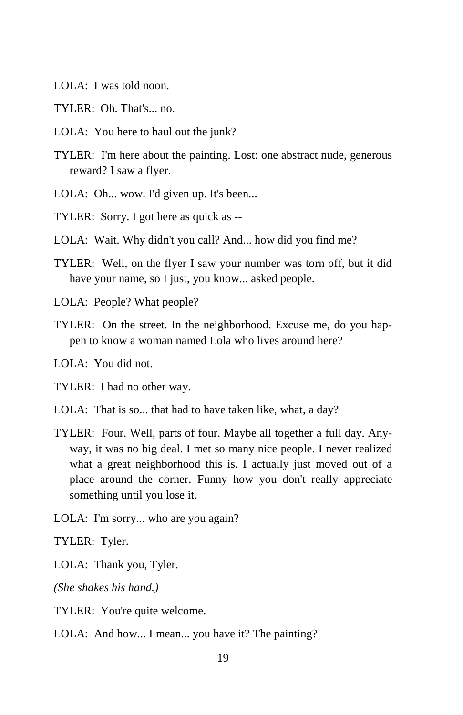- LOLA: I was told noon.
- TYLER: Oh. That's... no.
- LOLA: You here to haul out the junk?
- TYLER: I'm here about the painting. Lost: one abstract nude, generous reward? I saw a flyer.
- LOLA: Oh... wow. I'd given up. It's been...
- TYLER: Sorry. I got here as quick as --
- LOLA: Wait. Why didn't you call? And... how did you find me?
- TYLER: Well, on the flyer I saw your number was torn off, but it did have your name, so I just, you know... asked people.
- LOLA: People? What people?
- TYLER: On the street. In the neighborhood. Excuse me, do you happen to know a woman named Lola who lives around here?
- LOLA: You did not.

TYLER: I had no other way.

- LOLA: That is so... that had to have taken like, what, a day?
- TYLER: Four. Well, parts of four. Maybe all together a full day. Anyway, it was no big deal. I met so many nice people. I never realized what a great neighborhood this is. I actually just moved out of a place around the corner. Funny how you don't really appreciate something until you lose it.
- LOLA: I'm sorry... who are you again?

TYLER: Tyler.

LOLA: Thank you, Tyler.

*(She shakes his hand.)* 

TYLER: You're quite welcome.

LOLA: And how... I mean... you have it? The painting?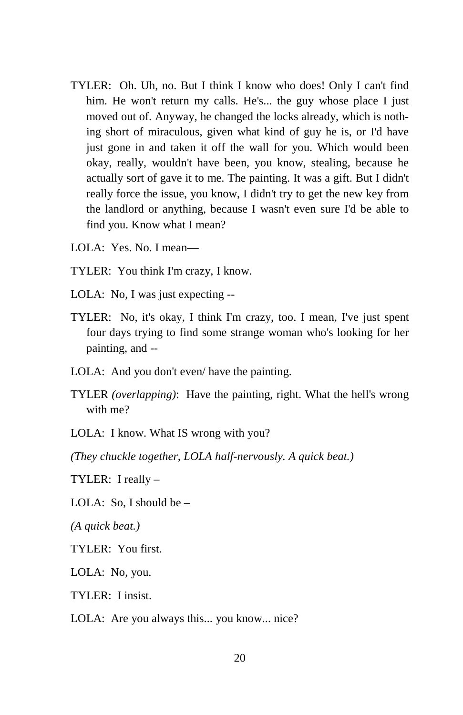- TYLER: Oh. Uh, no. But I think I know who does! Only I can't find him. He won't return my calls. He's... the guy whose place I just moved out of. Anyway, he changed the locks already, which is nothing short of miraculous, given what kind of guy he is, or I'd have just gone in and taken it off the wall for you. Which would been okay, really, wouldn't have been, you know, stealing, because he actually sort of gave it to me. The painting. It was a gift. But I didn't really force the issue, you know, I didn't try to get the new key from the landlord or anything, because I wasn't even sure I'd be able to find you. Know what I mean?
- LOLA: Yes. No. I mean—
- TYLER: You think I'm crazy, I know.
- LOLA: No, I was just expecting --
- TYLER: No, it's okay, I think I'm crazy, too. I mean, I've just spent four days trying to find some strange woman who's looking for her painting, and --
- LOLA: And you don't even/ have the painting.
- TYLER *(overlapping)*: Have the painting, right. What the hell's wrong with me?

LOLA: I know. What IS wrong with you?

*(They chuckle together, LOLA half-nervously. A quick beat.)* 

TYLER: I really –

LOLA: So, I should be  $-$ 

*(A quick beat.)*

TYLER: You first.

LOLA: No, you.

TYLER: I insist.

LOLA: Are you always this... you know... nice?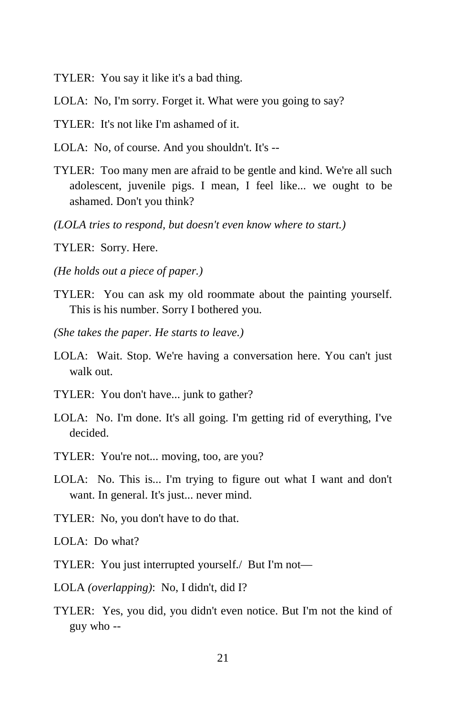- TYLER: You say it like it's a bad thing.
- LOLA: No, I'm sorry. Forget it. What were you going to say?
- TYLER: It's not like I'm ashamed of it.
- LOLA: No, of course. And you shouldn't. It's --
- TYLER: Too many men are afraid to be gentle and kind. We're all such adolescent, juvenile pigs. I mean, I feel like... we ought to be ashamed. Don't you think?
- *(LOLA tries to respond, but doesn't even know where to start.)*
- TYLER: Sorry. Here.
- *(He holds out a piece of paper.)*
- TYLER: You can ask my old roommate about the painting yourself. This is his number. Sorry I bothered you.
- *(She takes the paper. He starts to leave.)*
- LOLA: Wait. Stop. We're having a conversation here. You can't just walk out.
- TYLER: You don't have... junk to gather?
- LOLA: No. I'm done. It's all going. I'm getting rid of everything, I've decided.
- TYLER: You're not... moving, too, are you?
- LOLA: No. This is... I'm trying to figure out what I want and don't want. In general. It's just... never mind.
- TYLER: No, you don't have to do that.
- LOLA: Do what?
- TYLER: You just interrupted yourself./ But I'm not—
- LOLA *(overlapping)*: No, I didn't, did I?
- TYLER: Yes, you did, you didn't even notice. But I'm not the kind of guy who --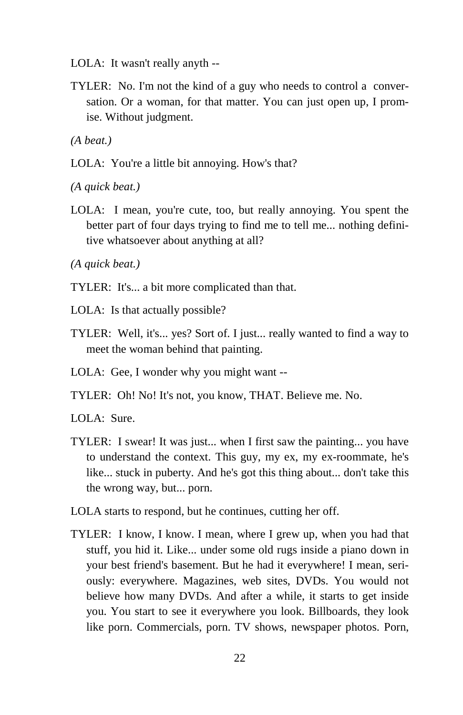- LOLA: It wasn't really anyth --
- TYLER: No. I'm not the kind of a guy who needs to control a conversation. Or a woman, for that matter. You can just open up, I promise. Without judgment.

*(A beat.)*

LOLA: You're a little bit annoying. How's that?

*(A quick beat.)* 

LOLA: I mean, you're cute, too, but really annoying. You spent the better part of four days trying to find me to tell me... nothing definitive whatsoever about anything at all?

*(A quick beat.)*

- TYLER: It's... a bit more complicated than that.
- LOLA: Is that actually possible?
- TYLER: Well, it's... yes? Sort of. I just... really wanted to find a way to meet the woman behind that painting.
- LOLA: Gee, I wonder why you might want --
- TYLER: Oh! No! It's not, you know, THAT. Believe me. No.

LOLA: Sure.

- TYLER: I swear! It was just... when I first saw the painting... you have to understand the context. This guy, my ex, my ex-roommate, he's like... stuck in puberty. And he's got this thing about... don't take this the wrong way, but... porn.
- LOLA starts to respond, but he continues, cutting her off.
- TYLER: I know, I know. I mean, where I grew up, when you had that stuff, you hid it. Like... under some old rugs inside a piano down in your best friend's basement. But he had it everywhere! I mean, seriously: everywhere. Magazines, web sites, DVDs. You would not believe how many DVDs. And after a while, it starts to get inside you. You start to see it everywhere you look. Billboards, they look like porn. Commercials, porn. TV shows, newspaper photos. Porn,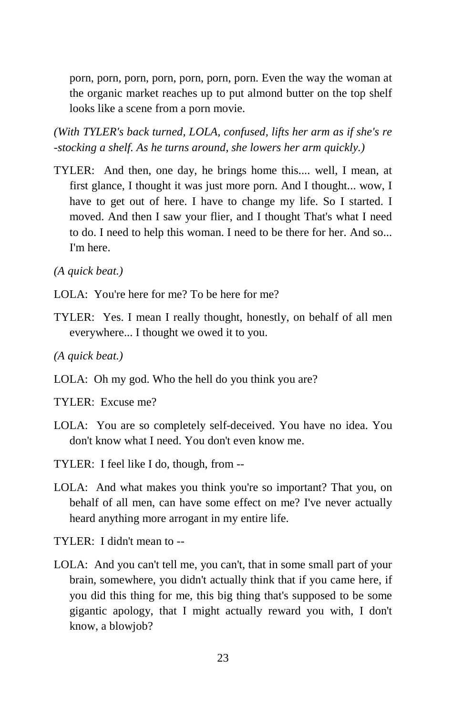porn, porn, porn, porn, porn, porn, porn. Even the way the woman at the organic market reaches up to put almond butter on the top shelf looks like a scene from a porn movie.

*(With TYLER's back turned, LOLA, confused, lifts her arm as if she's re -stocking a shelf. As he turns around, she lowers her arm quickly.)* 

TYLER: And then, one day, he brings home this.... well, I mean, at first glance, I thought it was just more porn. And I thought... wow, I have to get out of here. I have to change my life. So I started. I moved. And then I saw your flier, and I thought That's what I need to do. I need to help this woman. I need to be there for her. And so... I'm here.

*(A quick beat.)* 

- LOLA: You're here for me? To be here for me?
- TYLER: Yes. I mean I really thought, honestly, on behalf of all men everywhere... I thought we owed it to you.
- *(A quick beat.)*
- LOLA: Oh my god. Who the hell do you think you are?

TYLER: Excuse me?

- LOLA: You are so completely self-deceived. You have no idea. You don't know what I need. You don't even know me.
- TYLER: I feel like I do, though, from --
- LOLA: And what makes you think you're so important? That you, on behalf of all men, can have some effect on me? I've never actually heard anything more arrogant in my entire life.

TYLER: I didn't mean to --

LOLA: And you can't tell me, you can't, that in some small part of your brain, somewhere, you didn't actually think that if you came here, if you did this thing for me, this big thing that's supposed to be some gigantic apology, that I might actually reward you with, I don't know, a blowjob?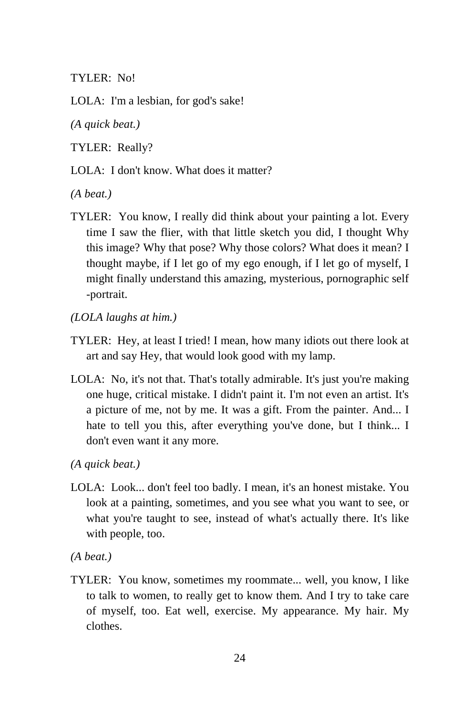TYLER: No!

LOLA: I'm a lesbian, for god's sake!

*(A quick beat.)* 

TYLER: Really?

LOLA: I don't know. What does it matter?

*(A beat.)* 

- TYLER: You know, I really did think about your painting a lot. Every time I saw the flier, with that little sketch you did, I thought Why this image? Why that pose? Why those colors? What does it mean? I thought maybe, if I let go of my ego enough, if I let go of myself, I might finally understand this amazing, mysterious, pornographic self -portrait.
- *(LOLA laughs at him.)*
- TYLER: Hey, at least I tried! I mean, how many idiots out there look at art and say Hey, that would look good with my lamp.
- LOLA: No, it's not that. That's totally admirable. It's just you're making one huge, critical mistake. I didn't paint it. I'm not even an artist. It's a picture of me, not by me. It was a gift. From the painter. And... I hate to tell you this, after everything you've done, but I think... I don't even want it any more.
- *(A quick beat.)*
- LOLA: Look... don't feel too badly. I mean, it's an honest mistake. You look at a painting, sometimes, and you see what you want to see, or what you're taught to see, instead of what's actually there. It's like with people, too.

*(A beat.)* 

TYLER: You know, sometimes my roommate... well, you know, I like to talk to women, to really get to know them. And I try to take care of myself, too. Eat well, exercise. My appearance. My hair. My clothes.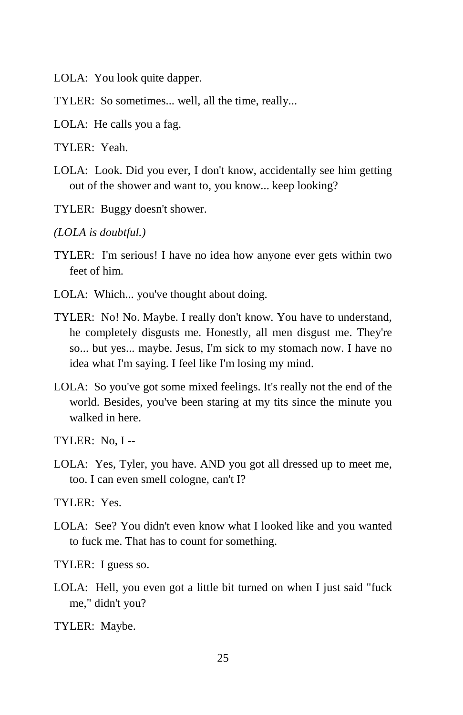LOLA: You look quite dapper.

TYLER: So sometimes... well, all the time, really...

LOLA: He calls you a fag.

TYLER: Yeah.

- LOLA: Look. Did you ever, I don't know, accidentally see him getting out of the shower and want to, you know... keep looking?
- TYLER: Buggy doesn't shower.

*(LOLA is doubtful.)* 

- TYLER: I'm serious! I have no idea how anyone ever gets within two feet of him.
- LOLA: Which... you've thought about doing.
- TYLER: No! No. Maybe. I really don't know. You have to understand, he completely disgusts me. Honestly, all men disgust me. They're so... but yes... maybe. Jesus, I'm sick to my stomach now. I have no idea what I'm saying. I feel like I'm losing my mind.
- LOLA: So you've got some mixed feelings. It's really not the end of the world. Besides, you've been staring at my tits since the minute you walked in here.

TYLER: No, I --

LOLA: Yes, Tyler, you have. AND you got all dressed up to meet me, too. I can even smell cologne, can't I?

TYLER: Yes.

LOLA: See? You didn't even know what I looked like and you wanted to fuck me. That has to count for something.

TYLER: I guess so.

LOLA: Hell, you even got a little bit turned on when I just said "fuck me," didn't you?

TYLER: Maybe.